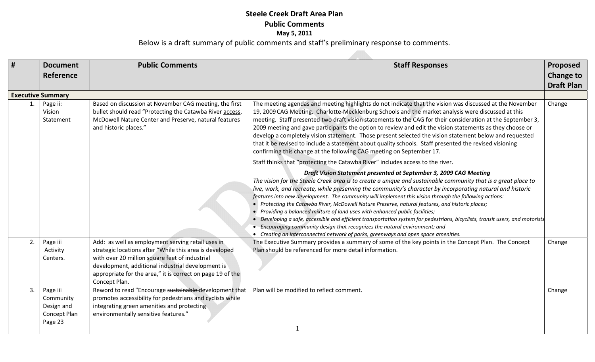## **Steele Creek Draft Area Plan Public Comments May 5, 2011**

## Below is <sup>a</sup> draft summary of public comments and staff's preliminary response to comments.

| #              | <b>Document</b><br><b>Reference</b>                            | <b>Public Comments</b>                                                                                                                                                                                                                                                                             | <b>Staff Responses</b>                                                                                                                                                                                                                                                                                                                                                                                                                                                                                                                                                                                                                                                                                                                                                                                                                                                                               | Proposed<br><b>Change to</b><br><b>Draft Plan</b> |
|----------------|----------------------------------------------------------------|----------------------------------------------------------------------------------------------------------------------------------------------------------------------------------------------------------------------------------------------------------------------------------------------------|------------------------------------------------------------------------------------------------------------------------------------------------------------------------------------------------------------------------------------------------------------------------------------------------------------------------------------------------------------------------------------------------------------------------------------------------------------------------------------------------------------------------------------------------------------------------------------------------------------------------------------------------------------------------------------------------------------------------------------------------------------------------------------------------------------------------------------------------------------------------------------------------------|---------------------------------------------------|
|                | <b>Executive Summary</b>                                       |                                                                                                                                                                                                                                                                                                    |                                                                                                                                                                                                                                                                                                                                                                                                                                                                                                                                                                                                                                                                                                                                                                                                                                                                                                      |                                                   |
| $\mathbf{1}$ . | Page ii:<br>Vision<br>Statement                                | Based on discussion at November CAG meeting, the first<br>bullet should read "Protecting the Catawba River access,<br>McDowell Nature Center and Preserve, natural features<br>and historic places."                                                                                               | The meeting agendas and meeting highlights do not indicate that the vision was discussed at the November<br>19, 2009 CAG Meeting. Charlotte-Mecklenburg Schools and the market analysis were discussed at this<br>meeting. Staff presented two draft vision statements to the CAG for their consideration at the September 3,<br>2009 meeting and gave participants the option to review and edit the vision statements as they choose or<br>develop a completely vision statement. Those present selected the vision statement below and requested<br>that it be revised to include a statement about quality schools. Staff presented the revised visioning<br>confirming this change at the following CAG meeting on September 17.                                                                                                                                                                | Change                                            |
|                |                                                                |                                                                                                                                                                                                                                                                                                    | Staff thinks that "protecting the Catawba River" includes access to the river.                                                                                                                                                                                                                                                                                                                                                                                                                                                                                                                                                                                                                                                                                                                                                                                                                       |                                                   |
|                |                                                                |                                                                                                                                                                                                                                                                                                    | Draft Vision Statement presented at September 3, 2009 CAG Meeting<br>The vision for the Steele Creek area is to create a unique and sustainable community that is a great place to<br>live, work, and recreate, while preserving the community's character by incorporating natural and historic<br>features into new development. The community will implement this vision through the following actions:<br>• Protecting the Catawba River, McDowell Nature Preserve, natural features, and historic places;<br>• Providing a balanced mixture of land uses with enhanced public facilities;<br>• Developing a safe, accessible and efficient transportation system for pedestrians, bicyclists, transit users, and motorists<br>• Encouraging community design that recognizes the natural environment; and<br>• Creating an interconnected network of parks, greenways and open space amenities. |                                                   |
| 2.             | Page iii<br>Activity<br>Centers.                               | Add: as well as employment serving retail uses in<br>strategic locations after "While this area is developed<br>with over 20 million square feet of industrial<br>development, additional industrial development is<br>appropriate for the area," it is correct on page 19 of the<br>Concept Plan. | The Executive Summary provides a summary of some of the key points in the Concept Plan. The Concept<br>Plan should be referenced for more detail information.                                                                                                                                                                                                                                                                                                                                                                                                                                                                                                                                                                                                                                                                                                                                        | Change                                            |
| 3.             | Page iii<br>Community<br>Design and<br>Concept Plan<br>Page 23 | Reword to read "Encourage sustainable development that<br>promotes accessibility for pedestrians and cyclists while<br>integrating green amenities and protecting<br>environmentally sensitive features."                                                                                          | Plan will be modified to reflect comment.                                                                                                                                                                                                                                                                                                                                                                                                                                                                                                                                                                                                                                                                                                                                                                                                                                                            | Change                                            |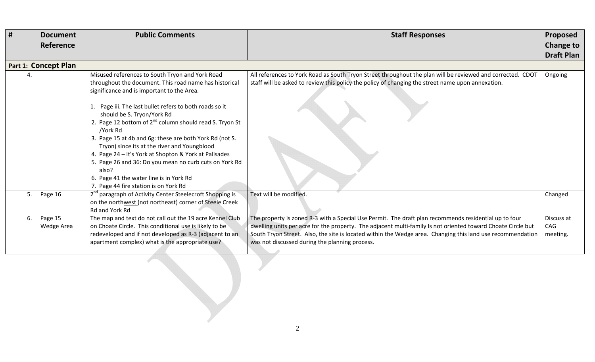| #  | <b>Document</b>       | <b>Public Comments</b>                                                                                                                                                                                                                                                                                                                                                                                                                                                                                                                                                                                                                               | <b>Staff Responses</b>                                                                                                                                                                                                                                                                                                                                                                | Proposed                      |
|----|-----------------------|------------------------------------------------------------------------------------------------------------------------------------------------------------------------------------------------------------------------------------------------------------------------------------------------------------------------------------------------------------------------------------------------------------------------------------------------------------------------------------------------------------------------------------------------------------------------------------------------------------------------------------------------------|---------------------------------------------------------------------------------------------------------------------------------------------------------------------------------------------------------------------------------------------------------------------------------------------------------------------------------------------------------------------------------------|-------------------------------|
|    | Reference             |                                                                                                                                                                                                                                                                                                                                                                                                                                                                                                                                                                                                                                                      |                                                                                                                                                                                                                                                                                                                                                                                       | <b>Change to</b>              |
|    |                       |                                                                                                                                                                                                                                                                                                                                                                                                                                                                                                                                                                                                                                                      |                                                                                                                                                                                                                                                                                                                                                                                       | <b>Draft Plan</b>             |
|    | Part 1: Concept Plan  |                                                                                                                                                                                                                                                                                                                                                                                                                                                                                                                                                                                                                                                      |                                                                                                                                                                                                                                                                                                                                                                                       |                               |
|    |                       | Misused references to South Tryon and York Road<br>throughout the document. This road name has historical<br>significance and is important to the Area.<br>Page iii. The last bullet refers to both roads so it<br>should be S. Tryon/York Rd<br>2. Page 12 bottom of $2^{nd}$ column should read S. Tryon St<br>/York Rd<br>3. Page 15 at 4b and 6g: these are both York Rd (not S.<br>Tryon) since its at the river and Youngblood<br>4. Page 24 - It's York at Shopton & York at Palisades<br>5. Page 26 and 36: Do you mean no curb cuts on York Rd<br>also?<br>6. Page 41 the water line is in York Rd<br>7. Page 44 fire station is on York Rd | All references to York Road as South Tryon Street throughout the plan will be reviewed and corrected. CDOT<br>staff will be asked to review this policy the policy of changing the street name upon annexation.                                                                                                                                                                       | Ongoing                       |
| 5. | Page 16               | 2 <sup>nd</sup> paragraph of Activity Center Steelecroft Shopping is<br>on the northwest (not northeast) corner of Steele Creek<br>Rd and York Rd                                                                                                                                                                                                                                                                                                                                                                                                                                                                                                    | Text will be modified.                                                                                                                                                                                                                                                                                                                                                                | Changed                       |
| 6. | Page 15<br>Wedge Area | The map and text do not call out the 19 acre Kennel Club<br>on Choate Circle. This conditional use is likely to be<br>redeveloped and if not developed as R-3 (adjacent to an<br>apartment complex) what is the appropriate use?                                                                                                                                                                                                                                                                                                                                                                                                                     | The property is zoned R-3 with a Special Use Permit. The draft plan recommends residential up to four<br>dwelling units per acre for the property. The adjacent multi-family Is not oriented toward Choate Circle but<br>South Tryon Street. Also, the site is located within the Wedge area. Changing this land use recommendation<br>was not discussed during the planning process. | Discuss at<br>CAG<br>meeting. |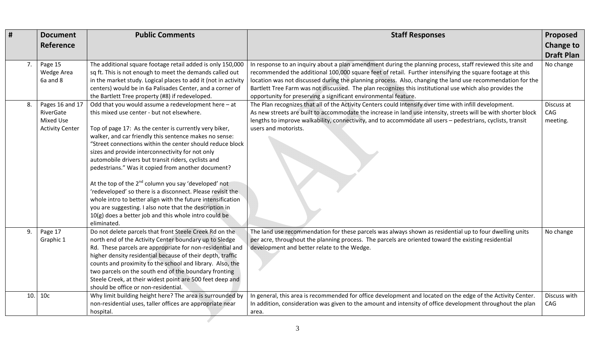| #   | <b>Document</b><br>Reference                                               | <b>Public Comments</b>                                                                                                                                                                                                                                                                                                                                                                                                                                                                                                                                                                                                                                                                                                                                                           | <b>Staff Responses</b>                                                                                                                                                                                                                                                                                                                                                                                                                                                                                               | Proposed<br><b>Change to</b><br><b>Draft Plan</b> |
|-----|----------------------------------------------------------------------------|----------------------------------------------------------------------------------------------------------------------------------------------------------------------------------------------------------------------------------------------------------------------------------------------------------------------------------------------------------------------------------------------------------------------------------------------------------------------------------------------------------------------------------------------------------------------------------------------------------------------------------------------------------------------------------------------------------------------------------------------------------------------------------|----------------------------------------------------------------------------------------------------------------------------------------------------------------------------------------------------------------------------------------------------------------------------------------------------------------------------------------------------------------------------------------------------------------------------------------------------------------------------------------------------------------------|---------------------------------------------------|
| 7.  | Page 15<br>Wedge Area<br>6a and 8                                          | The additional square footage retail added is only 150,000<br>sq ft. This is not enough to meet the demands called out<br>in the market study. Logical places to add it (not in activity<br>centers) would be in 6a Palisades Center, and a corner of<br>the Bartlett Tree property (#8) if redeveloped.                                                                                                                                                                                                                                                                                                                                                                                                                                                                         | In response to an inquiry about a plan amendment during the planning process, staff reviewed this site and<br>recommended the additional 100,000 square feet of retail. Further intensifying the square footage at this<br>location was not discussed during the planning process. Also, changing the land use recommendation for the<br>Bartlett Tree Farm was not discussed. The plan recognizes this institutional use which also provides the<br>opportunity for preserving a significant environmental feature. | No change                                         |
| 8.  | Pages 16 and 17<br>RiverGate<br><b>Mixed Use</b><br><b>Activity Center</b> | Odd that you would assume a redevelopment here - at<br>this mixed use center - but not elsewhere.<br>Top of page 17: As the center is currently very biker,<br>walker, and car friendly this sentence makes no sense:<br>"Street connections within the center should reduce block<br>sizes and provide interconnectivity for not only<br>automobile drivers but transit riders, cyclists and<br>pedestrians." Was it copied from another document?<br>At the top of the $2^{nd}$ column you say 'developed' not<br>'redeveloped' so there is a disconnect. Please revisit the<br>whole intro to better align with the future intensification<br>you are suggesting. I also note that the description in<br>10(g) does a better job and this whole intro could be<br>eliminated. | The Plan recognizes that all of the Activity Centers could Intensify over time with infill development.<br>As new streets are built to accommodate the increase in land use intensity, streets will be with shorter block<br>lengths to improve walkability, connectivity, and to accommodate all users - pedestrians, cyclists, transit<br>users and motorists.                                                                                                                                                     | Discuss at<br>CAG<br>meeting.                     |
| 9.  | Page 17<br>Graphic 1                                                       | Do not delete parcels that front Steele Creek Rd on the<br>north end of the Activity Center boundary up to Sledge<br>Rd. These parcels are appropriate for non-residential and<br>higher density residential because of their depth, traffic<br>counts and proximity to the school and library. Also, the<br>two parcels on the south end of the boundary fronting<br>Steele Creek, at their widest point are 500 feet deep and<br>should be office or non-residential.                                                                                                                                                                                                                                                                                                          | The land use recommendation for these parcels was always shown as residential up to four dwelling units<br>per acre, throughout the planning process. The parcels are oriented toward the existing residential<br>development and better relate to the Wedge.                                                                                                                                                                                                                                                        | No change                                         |
| 10. | 10 <sub>c</sub>                                                            | Why limit building height here? The area is surrounded by<br>non-residential uses, taller offices are appropriate near<br>hospital.                                                                                                                                                                                                                                                                                                                                                                                                                                                                                                                                                                                                                                              | In general, this area is recommended for office development and located on the edge of the Activity Center.<br>In addition, consideration was given to the amount and intensity of office development throughout the plan<br>area.                                                                                                                                                                                                                                                                                   | Discuss with<br>CAG                               |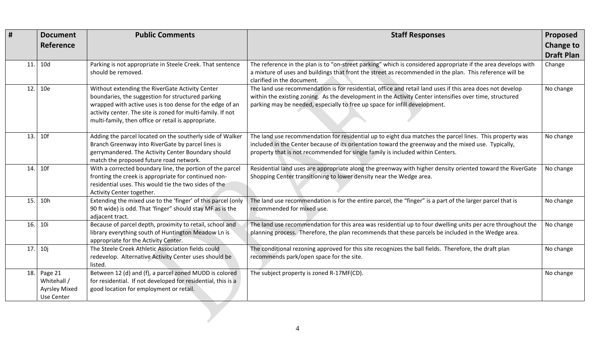| #   | <b>Document</b><br>Reference                                     | <b>Public Comments</b>                                                                                                                                                                                                                                                                 | <b>Staff Responses</b>                                                                                                                                                                                                                                                                             | Proposed<br><b>Change to</b><br><b>Draft Plan</b> |
|-----|------------------------------------------------------------------|----------------------------------------------------------------------------------------------------------------------------------------------------------------------------------------------------------------------------------------------------------------------------------------|----------------------------------------------------------------------------------------------------------------------------------------------------------------------------------------------------------------------------------------------------------------------------------------------------|---------------------------------------------------|
| 11. | 10 <sub>d</sub>                                                  | Parking is not appropriate in Steele Creek. That sentence<br>should be removed.                                                                                                                                                                                                        | The reference in the plan is to "on-street parking" which is considered appropriate if the area develops with<br>a mixture of uses and buildings that front the street as recommended in the plan. This reference will be<br>clarified in the document.                                            | Change                                            |
| 12. | 10e                                                              | Without extending the RiverGate Activity Center<br>boundaries, the suggestion for structured parking<br>wrapped with active uses is too dense for the edge of an<br>activity center. The site is zoned for multi-family. If not<br>multi-family, then office or retail is appropriate. | The land use recommendation is for residential, office and retail land uses if this area does not develop<br>within the existing zoning. As the development in the Activity Center intensifies over time, structured<br>parking may be needed, especially to free up space for infill development. | No change                                         |
| 13. | 10f                                                              | Adding the parcel located on the southerly side of Walker<br>Branch Greenway into RiverGate by parcel lines is<br>gerrymandered. The Activity Center Boundary should<br>match the proposed future road network.                                                                        | The land use recommendation for residential up to eight dua matches the parcel lines. This property was<br>included in the Center because of its orientation toward the greenway and the mixed use. Typically,<br>property that is not recommended for single family is included within Centers.   | No change                                         |
| 14. | 10f                                                              | With a corrected boundary line, the portion of the parcel<br>fronting the creek is appropriate for continued non-<br>residential uses. This would tie the two sides of the<br>Activity Center together.                                                                                | Residential land uses are appropriate along the greenway with higher density oriented toward the RiverGate<br>Shopping Center transitioning to lower density near the Wedge area.                                                                                                                  | No change                                         |
| 15. | 10h                                                              | Extending the mixed use to the 'finger' of this parcel (only<br>90 ft wide) is odd. That 'finger" should stay MF as is the<br>adjacent tract.                                                                                                                                          | The land use recommendation is for the entire parcel, the "finger" is a part of the larger parcel that is<br>recommended for mixed use.                                                                                                                                                            | No change                                         |
| 16. | 10i                                                              | Because of parcel depth, proximity to retail, school and<br>library everything south of Huntington Meadow Ln is<br>appropriate for the Activity Center.                                                                                                                                | The land use recommendation for this area was residential up to four dwelling units per acre throughout the<br>planning process. Therefore, the plan recommends that these parcels be included in the Wedge area.                                                                                  | No change                                         |
| 17. | 10j                                                              | The Steele Creek Athletic Association fields could<br>redevelop. Alternative Activity Center uses should be<br>listed.                                                                                                                                                                 | The conditional rezoning approved for this site recognizes the ball fields. Therefore, the draft plan<br>recommends park/open space for the site.                                                                                                                                                  | No change                                         |
|     | 18. Page 21<br>Whitehall /<br><b>Ayrsley Mixed</b><br>Use Center | Between 12 (d) and (f), a parcel zoned MUDD is colored<br>for residential. If not developed for residential, this is a<br>good location for employment or retail.                                                                                                                      | The subject property is zoned R-17MF(CD).                                                                                                                                                                                                                                                          | No change                                         |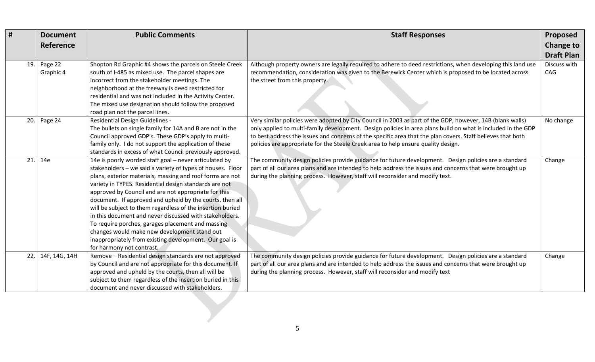| #   | <b>Document</b><br>Reference | <b>Public Comments</b>                                                                                                                                                                                                                                                                                                                                                                                                                                                                                                                                                                                                                                                               | <b>Staff Responses</b>                                                                                                                                                                                                                                                                                                                                                                                                        | Proposed<br><b>Change to</b><br><b>Draft Plan</b> |
|-----|------------------------------|--------------------------------------------------------------------------------------------------------------------------------------------------------------------------------------------------------------------------------------------------------------------------------------------------------------------------------------------------------------------------------------------------------------------------------------------------------------------------------------------------------------------------------------------------------------------------------------------------------------------------------------------------------------------------------------|-------------------------------------------------------------------------------------------------------------------------------------------------------------------------------------------------------------------------------------------------------------------------------------------------------------------------------------------------------------------------------------------------------------------------------|---------------------------------------------------|
| 19. | Page 22<br>Graphic 4         | Shopton Rd Graphic #4 shows the parcels on Steele Creek<br>south of I-485 as mixed use. The parcel shapes are<br>incorrect from the stakeholder meetings. The<br>neighborhood at the freeway is deed restricted for<br>residential and was not included in the Activity Center.<br>The mixed use designation should follow the proposed<br>road plan not the parcel lines.                                                                                                                                                                                                                                                                                                           | Although property owners are legally required to adhere to deed restrictions, when developing this land use<br>recommendation, consideration was given to the Berewick Center which is proposed to be located across<br>the street from this property.                                                                                                                                                                        | Discuss with<br>CAG                               |
| 20. | Page 24                      | Residential Design Guidelines -<br>The bullets on single family for 14A and B are not in the<br>Council approved GDP's. These GDP's apply to multi-<br>family only. I do not support the application of these<br>standards in excess of what Council previously approved.                                                                                                                                                                                                                                                                                                                                                                                                            | Very similar policies were adopted by City Council in 2003 as part of the GDP, however, 14B (blank walls)<br>only applied to multi-family development. Design policies in area plans build on what is included in the GDP<br>to best address the issues and concerns of the specific area that the plan covers. Staff believes that both<br>policies are appropriate for the Steele Creek area to help ensure quality design. | No change                                         |
| 21. | 14e                          | 14e is poorly worded staff goal - never articulated by<br>stakeholders - we said a variety of types of houses. Floor<br>plans, exterior materials, massing and roof forms are not<br>variety in TYPES. Residential design standards are not<br>approved by Council and are not appropriate for this<br>document. If approved and upheld by the courts, then all<br>will be subject to them regardless of the insertion buried<br>in this document and never discussed with stakeholders.<br>To require porches, garages placement and massing<br>changes would make new development stand out<br>inappropriately from existing development. Our goal is<br>for harmony not contrast. | The community design policies provide guidance for future development. Design policies are a standard<br>part of all our area plans and are intended to help address the issues and concerns that were brought up<br>during the planning process. However, staff will reconsider and modify text.                                                                                                                             | Change                                            |
| 22. | 14F, 14G, 14H                | Remove - Residential design standards are not approved<br>by Council and are not appropriate for this document. If<br>approved and upheld by the courts, then all will be<br>subject to them regardless of the insertion buried in this<br>document and never discussed with stakeholders.                                                                                                                                                                                                                                                                                                                                                                                           | The community design policies provide guidance for future development. Design policies are a standard<br>part of all our area plans and are intended to help address the issues and concerns that were brought up<br>during the planning process. However, staff will reconsider and modify text                                                                                                                              | Change                                            |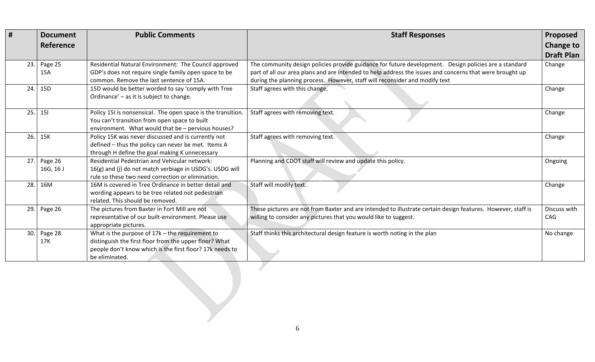| #   | <b>Document</b>     | <b>Public Comments</b>                                                                                                                                                                    | <b>Staff Responses</b>                                                                                                                                                                                                                                                                           | Proposed            |
|-----|---------------------|-------------------------------------------------------------------------------------------------------------------------------------------------------------------------------------------|--------------------------------------------------------------------------------------------------------------------------------------------------------------------------------------------------------------------------------------------------------------------------------------------------|---------------------|
|     | Reference           |                                                                                                                                                                                           |                                                                                                                                                                                                                                                                                                  | <b>Change to</b>    |
|     |                     |                                                                                                                                                                                           |                                                                                                                                                                                                                                                                                                  | <b>Draft Plan</b>   |
|     | 23. Page 25<br>15A  | Residential Natural Environment: The Council approved<br>GDP's does not require single family open space to be<br>common. Remove the last sentence of 15A.                                | The community design policies provide guidance for future development. Design policies are a standard<br>part of all our area plans and are intended to help address the issues and concerns that were brought up<br>during the planning process. However, staff will reconsider and modify text | Change              |
| 24. | 15D                 | 15D would be better worded to say 'comply with Tree<br>Ordinance' - as it is subject to change.                                                                                           | Staff agrees with this change.                                                                                                                                                                                                                                                                   | Change              |
| 25. | <b>151</b>          | Policy 15I is nonsensical. The open space is the transition.<br>You can't transition from open space to built<br>environment. What would that be - pervious houses?                       | Staff agrees with removing text.                                                                                                                                                                                                                                                                 | Change              |
| 26. | 15K                 | Policy 15K was never discussed and is currently not<br>defined - thus the policy can never be met. Items A<br>through H define the goal making K unnecessary                              | Staff agrees with removing text.                                                                                                                                                                                                                                                                 | Change              |
| 27. | Page 26<br>16G, 16J | Residential Pedestrian and Vehicular network:<br>16(g) and (j) do not match verbiage in USDG's. USDG will<br>rule so these two need correction or elimination.                            | Planning and CDOT staff will review and update this policy.                                                                                                                                                                                                                                      | Ongoing             |
| 28. | 16M                 | 16M is covered in Tree Ordinance in better detail and<br>wording appears to be tree related not pedestrian<br>related. This should be removed.                                            | Staff will modify text.                                                                                                                                                                                                                                                                          | Change              |
|     | 29. Page $26$       | The pictures from Baxter in Fort Mill are not<br>representative of our built-environment. Please use<br>appropriate pictures.                                                             | These pictures are not from Baxter and are intended to illustrate certain design features. However, staff is<br>willing to consider any pictures that you would like to suggest.                                                                                                                 | Discuss with<br>CAG |
|     | 30. Page 28<br>17K  | What is the purpose of $17k$ – the requirement to<br>distinguish the first floor from the upper floor? What<br>people don't know which is the first floor? 17k needs to<br>be eliminated. | Staff thinks this architectural design feature is worth noting in the plan                                                                                                                                                                                                                       | No change           |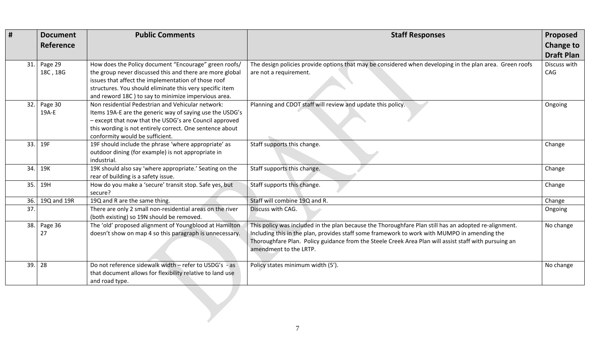| #   | <b>Document</b><br>Reference | <b>Public Comments</b>                                                                                                                                                                                                                                                                      | <b>Staff Responses</b>                                                                                                                                                                                                                                                                                                                   | Proposed<br><b>Change to</b><br><b>Draft Plan</b> |
|-----|------------------------------|---------------------------------------------------------------------------------------------------------------------------------------------------------------------------------------------------------------------------------------------------------------------------------------------|------------------------------------------------------------------------------------------------------------------------------------------------------------------------------------------------------------------------------------------------------------------------------------------------------------------------------------------|---------------------------------------------------|
| 31. | Page 29<br>18C, 18G          | How does the Policy document "Encourage" green roofs/<br>the group never discussed this and there are more global<br>issues that affect the implementation of those roof<br>structures. You should eliminate this very specific item<br>and reword 18C) to say to minimize impervious area. | The design policies provide options that may be considered when developing in the plan area. Green roofs<br>are not a requirement.                                                                                                                                                                                                       | Discuss with<br>CAG                               |
| 32. | Page 30<br>19A-E             | Non residential Pedestrian and Vehicular network:<br>Items 19A-E are the generic way of saying use the USDG's<br>- except that now that the USDG's are Council approved<br>this wording is not entirely correct. One sentence about<br>conformity would be sufficient.                      | Planning and CDOT staff will review and update this policy.                                                                                                                                                                                                                                                                              | Ongoing                                           |
| 33. | 19F                          | 19F should include the phrase 'where appropriate' as<br>outdoor dining (for example) is not appropriate in<br>industrial.                                                                                                                                                                   | Staff supports this change.                                                                                                                                                                                                                                                                                                              | Change                                            |
| 34. | 19K                          | 19K should also say 'where appropriate.' Seating on the<br>rear of building is a safety issue.                                                                                                                                                                                              | Staff supports this change.                                                                                                                                                                                                                                                                                                              | Change                                            |
| 35. | 19H                          | How do you make a 'secure' transit stop. Safe yes, but<br>secure?                                                                                                                                                                                                                           | Staff supports this change.                                                                                                                                                                                                                                                                                                              | Change                                            |
| 36. | 19Q and 19R                  | 19Q and R are the same thing.                                                                                                                                                                                                                                                               | Staff will combine 19Q and R.                                                                                                                                                                                                                                                                                                            | Change                                            |
| 37. |                              | There are only 2 small non-residential areas on the river<br>(both existing) so 19N should be removed.                                                                                                                                                                                      | Discuss with CAG.                                                                                                                                                                                                                                                                                                                        | Ongoing                                           |
| 38. | Page 36<br>27                | The 'old' proposed alignment of Youngblood at Hamilton<br>doesn't show on map 4 so this paragraph is unnecessary.                                                                                                                                                                           | This policy was included in the plan because the Thoroughfare Plan still has an adopted re-alignment.<br>Including this in the plan, provides staff some framework to work with MUMPO in amending the<br>Thoroughfare Plan. Policy guidance from the Steele Creek Area Plan will assist staff with pursuing an<br>amendment to the LRTP. | No change                                         |
| 39. | 28                           | Do not reference sidewalk width - refer to USDG's - as<br>that document allows for flexibility relative to land use<br>and road type.                                                                                                                                                       | Policy states minimum width (5').                                                                                                                                                                                                                                                                                                        | No change                                         |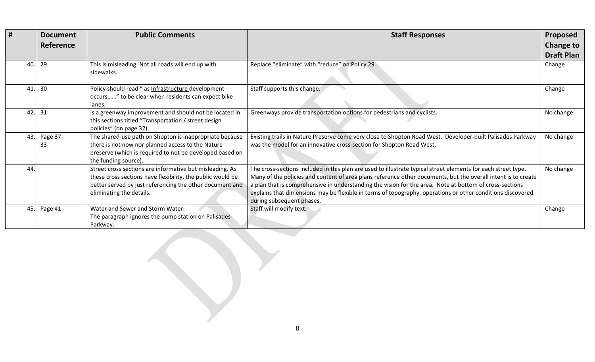| #   | <b>Document</b> | <b>Public Comments</b>                                                                                                                                                                                         | <b>Staff Responses</b>                                                                                                                                                                                                                                                                                                                                                                                                                                                               | <b>Proposed</b>   |
|-----|-----------------|----------------------------------------------------------------------------------------------------------------------------------------------------------------------------------------------------------------|--------------------------------------------------------------------------------------------------------------------------------------------------------------------------------------------------------------------------------------------------------------------------------------------------------------------------------------------------------------------------------------------------------------------------------------------------------------------------------------|-------------------|
|     | Reference       |                                                                                                                                                                                                                |                                                                                                                                                                                                                                                                                                                                                                                                                                                                                      | <b>Change to</b>  |
|     |                 |                                                                                                                                                                                                                |                                                                                                                                                                                                                                                                                                                                                                                                                                                                                      | <b>Draft Plan</b> |
| 40. | 29              | This is misleading. Not all roads will end up with<br>sidewalks.                                                                                                                                               | Replace "eliminate" with "reduce" on Policy 29.                                                                                                                                                                                                                                                                                                                                                                                                                                      | Change            |
| 41  | 30              | Policy should read " as Infrastructure development<br>occurs" to be clear when residents can expect bike<br>lanes.                                                                                             | Staff supports this change.                                                                                                                                                                                                                                                                                                                                                                                                                                                          | Change            |
| 42. | 31              | is a greenway improvement and should not be located in<br>this sections titled "Transportation / street design<br>policies" (on page 32).                                                                      | Greenways provide transportation options for pedestrians and cyclists.                                                                                                                                                                                                                                                                                                                                                                                                               | No change         |
| 43. | Page 37<br>33   | The shared-use path on Shopton is inappropriate because<br>there is not now nor planned access to the Nature<br>preserve (which is required to not be developed based on<br>the funding source).               | Existing trails in Nature Preserve come very close to Shopton Road West. Developer-built Palisades Parkway<br>was the model for an innovative cross-section for Shopton Road West.                                                                                                                                                                                                                                                                                                   | No change         |
| 44. |                 | Street cross sections are informative but misleading. As<br>these cross sections have flexibility, the public would be<br>better served by just referencing the other document and<br>eliminating the details. | The cross-sections included in this plan are used to illustrate typical street elements for each street type.<br>Many of the policies and content of area plans reference other documents, but the overall intent is to create<br>a plan that is comprehensive in understanding the vision for the area. Note at bottom of cross-sections<br>explains that dimensions may be flexible in terms of topography, operations or other conditions discovered<br>during subsequent phases. | No change         |
| 45. | Page 41         | Water and Sewer and Storm Water:<br>The paragraph ignores the pump station on Palisades<br>Parkway.                                                                                                            | Staff will modify text.                                                                                                                                                                                                                                                                                                                                                                                                                                                              | Change            |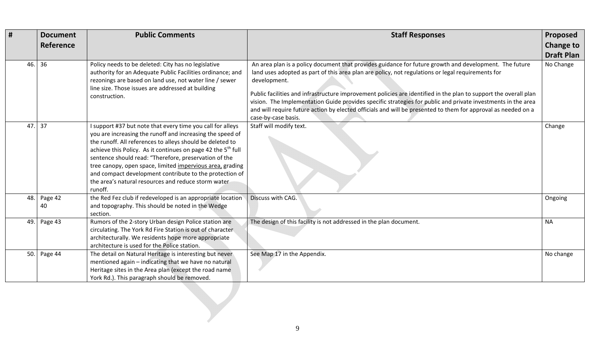| #   | <b>Document</b> | <b>Public Comments</b>                                                                                                                                                                                                                                                                                                                                                                                                                                                                                              | <b>Staff Responses</b>                                                                                                                                                                                                                                                                                                                                                                                                                                                                                                                                                                                  | Proposed          |
|-----|-----------------|---------------------------------------------------------------------------------------------------------------------------------------------------------------------------------------------------------------------------------------------------------------------------------------------------------------------------------------------------------------------------------------------------------------------------------------------------------------------------------------------------------------------|---------------------------------------------------------------------------------------------------------------------------------------------------------------------------------------------------------------------------------------------------------------------------------------------------------------------------------------------------------------------------------------------------------------------------------------------------------------------------------------------------------------------------------------------------------------------------------------------------------|-------------------|
|     | Reference       |                                                                                                                                                                                                                                                                                                                                                                                                                                                                                                                     |                                                                                                                                                                                                                                                                                                                                                                                                                                                                                                                                                                                                         | <b>Change to</b>  |
|     |                 |                                                                                                                                                                                                                                                                                                                                                                                                                                                                                                                     |                                                                                                                                                                                                                                                                                                                                                                                                                                                                                                                                                                                                         | <b>Draft Plan</b> |
| 46. | 36              | Policy needs to be deleted: City has no legislative<br>authority for an Adequate Public Facilities ordinance; and<br>rezonings are based on land use, not water line / sewer<br>line size. Those issues are addressed at building<br>construction.                                                                                                                                                                                                                                                                  | An area plan is a policy document that provides guidance for future growth and development. The future<br>land uses adopted as part of this area plan are policy, not regulations or legal requirements for<br>development.<br>Public facilities and infrastructure improvement policies are identified in the plan to support the overall plan<br>vision. The Implementation Guide provides specific strategies for public and private investments in the area<br>and will require future action by elected officials and will be presented to them for approval as needed on a<br>case-by-case basis. | No Change         |
| 47. | 37              | I support #37 but note that every time you call for alleys<br>you are increasing the runoff and increasing the speed of<br>the runoff. All references to alleys should be deleted to<br>achieve this Policy. As it continues on page 42 the 5 <sup>th</sup> full<br>sentence should read: "Therefore, preservation of the<br>tree canopy, open space, limited impervious area, grading<br>and compact development contribute to the protection of<br>the area's natural resources and reduce storm water<br>runoff. | Staff will modify text.                                                                                                                                                                                                                                                                                                                                                                                                                                                                                                                                                                                 | Change            |
| 48. | Page 42<br>40   | the Red Fez club if redeveloped is an appropriate location<br>and topography. This should be noted in the Wedge<br>section.                                                                                                                                                                                                                                                                                                                                                                                         | Discuss with CAG.                                                                                                                                                                                                                                                                                                                                                                                                                                                                                                                                                                                       | Ongoing           |
| 49. | Page 43         | Rumors of the 2-story Urban design Police station are<br>circulating. The York Rd Fire Station is out of character<br>architecturally. We residents hope more appropriate<br>architecture is used for the Police station.                                                                                                                                                                                                                                                                                           | The design of this facility is not addressed in the plan document.                                                                                                                                                                                                                                                                                                                                                                                                                                                                                                                                      | <b>NA</b>         |
| 50. | Page 44         | The detail on Natural Heritage is interesting but never<br>mentioned again - indicating that we have no natural<br>Heritage sites in the Area plan (except the road name<br>York Rd.). This paragraph should be removed.                                                                                                                                                                                                                                                                                            | See Map 17 in the Appendix.                                                                                                                                                                                                                                                                                                                                                                                                                                                                                                                                                                             | No change         |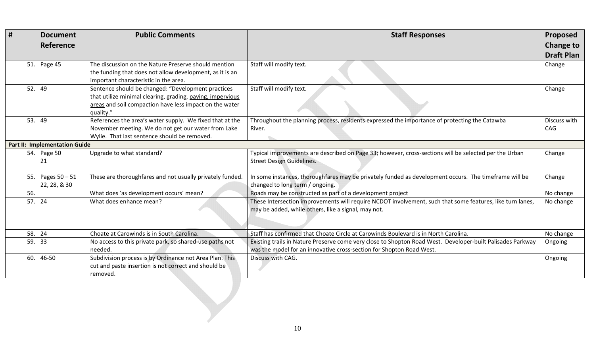| #   | <b>Document</b>                      | <b>Public Comments</b>                                     | <b>Staff Responses</b>                                                                                                                                           | Proposed          |
|-----|--------------------------------------|------------------------------------------------------------|------------------------------------------------------------------------------------------------------------------------------------------------------------------|-------------------|
|     | Reference                            |                                                            |                                                                                                                                                                  | <b>Change to</b>  |
|     |                                      |                                                            |                                                                                                                                                                  | <b>Draft Plan</b> |
|     | 51. Page 45                          | The discussion on the Nature Preserve should mention       | Staff will modify text.                                                                                                                                          | Change            |
|     |                                      | the funding that does not allow development, as it is an   |                                                                                                                                                                  |                   |
|     |                                      | important characteristic in the area.                      |                                                                                                                                                                  |                   |
| 52. | 49                                   | Sentence should be changed: "Development practices         | Staff will modify text.                                                                                                                                          | Change            |
|     |                                      | that utilize minimal clearing, grading, paving, impervious |                                                                                                                                                                  |                   |
|     |                                      | areas and soil compaction have less impact on the water    |                                                                                                                                                                  |                   |
|     |                                      | quality."                                                  |                                                                                                                                                                  |                   |
| 53. | 49                                   | References the area's water supply. We fixed that at the   | Throughout the planning process, residents expressed the importance of protecting the Catawba                                                                    | Discuss with      |
|     |                                      | November meeting. We do not get our water from Lake        | River.                                                                                                                                                           | CAG               |
|     |                                      | Wylie. That last sentence should be removed.               |                                                                                                                                                                  |                   |
|     | <b>Part II: Implementation Guide</b> |                                                            |                                                                                                                                                                  |                   |
|     | 54. Page 50                          | Upgrade to what standard?                                  | Typical improvements are described on Page 33; however, cross-sections will be selected per the Urban                                                            | Change            |
|     | 21                                   |                                                            | <b>Street Design Guidelines.</b>                                                                                                                                 |                   |
|     |                                      |                                                            |                                                                                                                                                                  |                   |
| 55. | Pages 50 - 51                        | These are thoroughfares and not usually privately funded.  | In some instances, thoroughfares may be privately funded as development occurs. The timeframe will be                                                            | Change            |
|     | 22, 28, & 30                         |                                                            | changed to long term / ongoing.                                                                                                                                  |                   |
| 56. |                                      | What does 'as development occurs' mean?                    | Roads may be constructed as part of a development project                                                                                                        | No change         |
| 57. | 24                                   | What does enhance mean?                                    | These Intersection improvements will require NCDOT involvement, such that some features, like turn lanes,<br>may be added, while others, like a signal, may not. | No change         |
|     |                                      |                                                            |                                                                                                                                                                  |                   |
|     |                                      |                                                            |                                                                                                                                                                  |                   |
| 58. | 24                                   | Choate at Carowinds is in South Carolina.                  | Staff has confirmed that Choate Circle at Carowinds Boulevard is in North Carolina.                                                                              | No change         |
| 59. | 33                                   | No access to this private park, so shared-use paths not    | Existing trails in Nature Preserve come very close to Shopton Road West. Developer-built Palisades Parkway                                                       | Ongoing           |
|     |                                      | needed.                                                    | was the model for an innovative cross-section for Shopton Road West.                                                                                             |                   |
| 60. | 46-50                                | Subdivision process is by Ordinance not Area Plan. This    | Discuss with CAG.                                                                                                                                                | Ongoing           |
|     |                                      | cut and paste insertion is not correct and should be       |                                                                                                                                                                  |                   |
|     |                                      | removed.                                                   |                                                                                                                                                                  |                   |
|     |                                      |                                                            |                                                                                                                                                                  |                   |
|     |                                      |                                                            |                                                                                                                                                                  |                   |
|     |                                      |                                                            |                                                                                                                                                                  |                   |
|     |                                      |                                                            |                                                                                                                                                                  |                   |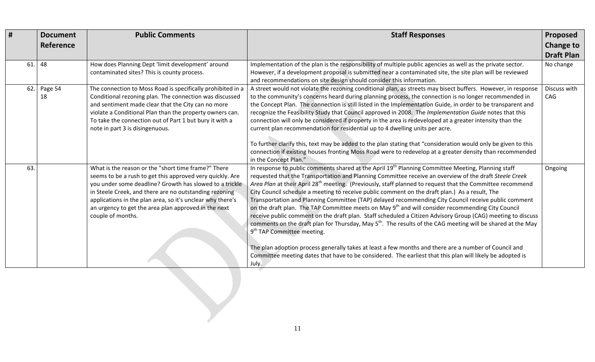|     | <b>Document</b> | <b>Public Comments</b>                                                                                                                                                                                                                                                                                                                                                           | <b>Staff Responses</b>                                                                                                                                                                                                                                                                                                                                                                                                                                                                                                                                                                                                                                                                                                                                                                                                                                                                                                                                                                                                                                                                                                                                                                          | Proposed            |
|-----|-----------------|----------------------------------------------------------------------------------------------------------------------------------------------------------------------------------------------------------------------------------------------------------------------------------------------------------------------------------------------------------------------------------|-------------------------------------------------------------------------------------------------------------------------------------------------------------------------------------------------------------------------------------------------------------------------------------------------------------------------------------------------------------------------------------------------------------------------------------------------------------------------------------------------------------------------------------------------------------------------------------------------------------------------------------------------------------------------------------------------------------------------------------------------------------------------------------------------------------------------------------------------------------------------------------------------------------------------------------------------------------------------------------------------------------------------------------------------------------------------------------------------------------------------------------------------------------------------------------------------|---------------------|
|     | Reference       |                                                                                                                                                                                                                                                                                                                                                                                  |                                                                                                                                                                                                                                                                                                                                                                                                                                                                                                                                                                                                                                                                                                                                                                                                                                                                                                                                                                                                                                                                                                                                                                                                 | <b>Change to</b>    |
|     |                 |                                                                                                                                                                                                                                                                                                                                                                                  |                                                                                                                                                                                                                                                                                                                                                                                                                                                                                                                                                                                                                                                                                                                                                                                                                                                                                                                                                                                                                                                                                                                                                                                                 | <b>Draft Plan</b>   |
|     | $61.$ 48        | How does Planning Dept 'limit development' around<br>contaminated sites? This is county process.                                                                                                                                                                                                                                                                                 | Implementation of the plan is the responsibility of multiple public agencies as well as the private sector.<br>However, if a development proposal is submitted near a contaminated site, the site plan will be reviewed<br>and recommendations on site design should consider this information.                                                                                                                                                                                                                                                                                                                                                                                                                                                                                                                                                                                                                                                                                                                                                                                                                                                                                                 | No change           |
| 62. | Page 54<br>18   | The connection to Moss Road is specifically prohibited in a<br>Conditional rezoning plan. The connection was discussed<br>and sentiment made clear that the City can no more<br>violate a Conditional Plan than the property owners can.<br>To take the connection out of Part 1 but bury it with a<br>note in part 3 is disingenuous.                                           | A street would not violate the rezoning conditional plan, as streets may bisect buffers. However, in response<br>to the community's concerns heard during planning process, the connection is no longer recommended in<br>the Concept Plan. The connection is still listed in the Implementation Guide, in order to be transparent and<br>recognize the Feasibility Study that Council approved in 2008. The Implementation Guide notes that this<br>connection will only be considered if property in the area is redeveloped at a greater intensity than the<br>current plan recommendation for residential up to 4 dwelling units per acre.<br>To further clarify this, text may be added to the plan stating that "consideration would only be given to this<br>connection if existing houses fronting Moss Road were to redevelop at a greater density than recommended<br>in the Concept Plan."                                                                                                                                                                                                                                                                                           | Discuss with<br>CAG |
| 63. |                 | What is the reason or the "short time frame?" There<br>seems to be a rush to get this approved very quickly. Are<br>you under some deadline? Growth has slowed to a trickle<br>in Steele Creek, and there are no outstanding rezoning<br>applications in the plan area, so it's unclear why there's<br>an urgency to get the area plan approved in the next<br>couple of months. | In response to public comments shared at the April 19 <sup>th</sup> Planning Committee Meeting, Planning staff<br>requested that the Transportation and Planning Committee receive an overview of the draft Steele Creek<br>Area Plan at their April 28 <sup>th</sup> meeting. (Previously, staff planned to request that the Committee recommend<br>City Council schedule a meeting to receive public comment on the draft plan.) As a result, The<br>Transportation and Planning Committee (TAP) delayed recommending City Council receive public comment<br>on the draft plan. The TAP Committee meets on May 9 <sup>th</sup> and will consider recommending City Council<br>receive public comment on the draft plan. Staff scheduled a Citizen Advisory Group (CAG) meeting to discuss<br>comments on the draft plan for Thursday, May 5 <sup>th</sup> . The results of the CAG meeting will be shared at the May<br>9 <sup>th</sup> TAP Committee meeting.<br>The plan adoption process generally takes at least a few months and there are a number of Council and<br>Committee meeting dates that have to be considered. The earliest that this plan will likely be adopted is<br>July. | Ongoing             |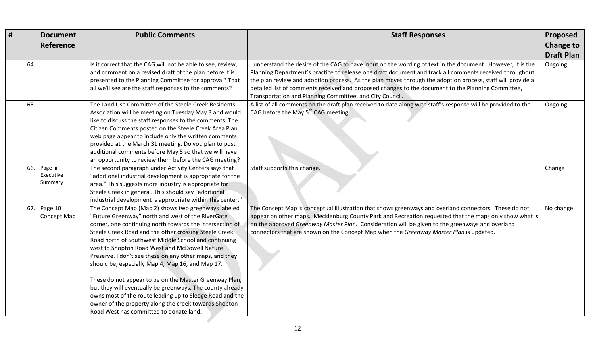| #   | <b>Document</b><br>Reference     | <b>Public Comments</b>                                                                                                                                                                                                                                                                                                                                                                                                                                                                                                                                                                                                                                                                                                                       | <b>Staff Responses</b>                                                                                                                                                                                                                                                                                                                                                                                                                                                                                 | Proposed<br><b>Change to</b><br><b>Draft Plan</b> |
|-----|----------------------------------|----------------------------------------------------------------------------------------------------------------------------------------------------------------------------------------------------------------------------------------------------------------------------------------------------------------------------------------------------------------------------------------------------------------------------------------------------------------------------------------------------------------------------------------------------------------------------------------------------------------------------------------------------------------------------------------------------------------------------------------------|--------------------------------------------------------------------------------------------------------------------------------------------------------------------------------------------------------------------------------------------------------------------------------------------------------------------------------------------------------------------------------------------------------------------------------------------------------------------------------------------------------|---------------------------------------------------|
| 64. |                                  | Is it correct that the CAG will not be able to see, review,<br>and comment on a revised draft of the plan before it is<br>presented to the Planning Committee for approval? That<br>all we'll see are the staff responses to the comments?                                                                                                                                                                                                                                                                                                                                                                                                                                                                                                   | I understand the desire of the CAG to have input on the wording of text in the document. However, it is the<br>Planning Department's practice to release one draft document and track all comments received throughout<br>the plan review and adoption process. As the plan moves through the adoption process, staff will provide a<br>detailed list of comments received and proposed changes to the document to the Planning Committee,<br>Transportation and Planning Committee, and City Council. | Ongoing                                           |
| 65. |                                  | The Land Use Committee of the Steele Creek Residents<br>Association will be meeting on Tuesday May 3 and would<br>like to discuss the staff responses to the comments. The<br>Citizen Comments posted on the Steele Creek Area Plan<br>web page appear to include only the written comments<br>provided at the March 31 meeting. Do you plan to post<br>additional comments before May 5 so that we will have<br>an opportunity to review them before the CAG meeting?                                                                                                                                                                                                                                                                       | A list of all comments on the draft plan received to date along with staff's response will be provided to the<br>CAG before the May 5 <sup>th</sup> CAG meeting.                                                                                                                                                                                                                                                                                                                                       | Ongoing                                           |
| 66. | Page iii<br>Executive<br>Summary | The second paragraph under Activity Centers says that<br>"additional industrial development is appropriate for the<br>area." This suggests more industry is appropriate for<br>Steele Creek in general. This should say "additional<br>industrial development is appropriate within this center."                                                                                                                                                                                                                                                                                                                                                                                                                                            | Staff supports this change.                                                                                                                                                                                                                                                                                                                                                                                                                                                                            | Change                                            |
|     | 67. Page $10$<br>Concept Map     | The Concept Map (Map 2) shows two greenways labeled<br>"Future Greenway" north and west of the RiverGate<br>corner, one continuing north towards the intersection of<br>Steele Creek Road and the other crossing Steele Creek<br>Road north of Southwest Middle School and continuing<br>west to Shopton Road West and McDowell Nature<br>Preserve. I don't see these on any other maps, and they<br>should be, especially Map 4, Map 16, and Map 17.<br>These do not appear to be on the Master Greenway Plan,<br>but they will eventually be greenways. The county already<br>owns most of the route leading up to Sledge Road and the<br>owner of the property along the creek towards Shopton<br>Road West has committed to donate land. | The Concept Map is conceptual illustration that shows greenways and overland connectors. These do not<br>appear on other maps. Mecklenburg County Park and Recreation requested that the maps only show what is<br>on the approved Greenway Master Plan. Consideration will be given to the greenways and overland<br>connectors that are shown on the Concept Map when the Greenway Master Plan is updated.                                                                                           | No change                                         |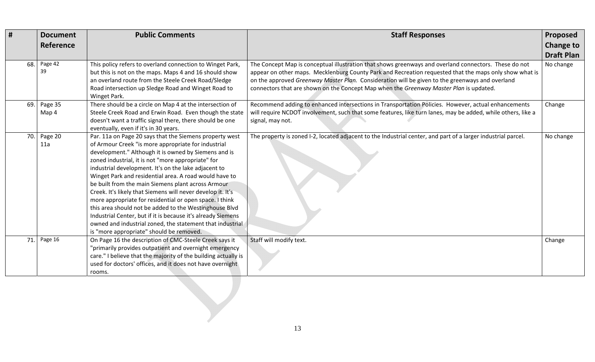| #   | <b>Document</b>  | <b>Public Comments</b>                                                                                                                                                                                                                                                                                                                                                                                                                                                                                                                                                                                                                                                                                                                                            | <b>Staff Responses</b>                                                                                                                                                                                                                                                                                                                                                                                       | Proposed          |
|-----|------------------|-------------------------------------------------------------------------------------------------------------------------------------------------------------------------------------------------------------------------------------------------------------------------------------------------------------------------------------------------------------------------------------------------------------------------------------------------------------------------------------------------------------------------------------------------------------------------------------------------------------------------------------------------------------------------------------------------------------------------------------------------------------------|--------------------------------------------------------------------------------------------------------------------------------------------------------------------------------------------------------------------------------------------------------------------------------------------------------------------------------------------------------------------------------------------------------------|-------------------|
|     | Reference        |                                                                                                                                                                                                                                                                                                                                                                                                                                                                                                                                                                                                                                                                                                                                                                   |                                                                                                                                                                                                                                                                                                                                                                                                              | <b>Change to</b>  |
|     |                  |                                                                                                                                                                                                                                                                                                                                                                                                                                                                                                                                                                                                                                                                                                                                                                   |                                                                                                                                                                                                                                                                                                                                                                                                              | <b>Draft Plan</b> |
| 68. | Page 42<br>39    | This policy refers to overland connection to Winget Park,<br>but this is not on the maps. Maps 4 and 16 should show<br>an overland route from the Steele Creek Road/Sledge<br>Road intersection up Sledge Road and Winget Road to<br>Winget Park.                                                                                                                                                                                                                                                                                                                                                                                                                                                                                                                 | The Concept Map is conceptual illustration that shows greenways and overland connectors. These do not<br>appear on other maps. Mecklenburg County Park and Recreation requested that the maps only show what is<br>on the approved Greenway Master Plan. Consideration will be given to the greenways and overland<br>connectors that are shown on the Concept Map when the Greenway Master Plan is updated. | No change         |
| 69. | Page 35<br>Map 4 | There should be a circle on Map 4 at the intersection of<br>Steele Creek Road and Erwin Road. Even though the state<br>doesn't want a traffic signal there, there should be one<br>eventually, even if it's in 30 years.                                                                                                                                                                                                                                                                                                                                                                                                                                                                                                                                          | Recommend adding to enhanced intersections in Transportation Policies. However, actual enhancements<br>will require NCDOT involvement, such that some features, like turn lanes, may be added, while others, like a<br>signal, may not.                                                                                                                                                                      | Change            |
| 70. | Page 20<br>11a   | Par. 11a on Page 20 says that the Siemens property west<br>of Armour Creek "is more appropriate for industrial<br>development." Although it is owned by Siemens and is<br>zoned industrial, it is not "more appropriate" for<br>industrial development. It's on the lake adjacent to<br>Winget Park and residential area. A road would have to<br>be built from the main Siemens plant across Armour<br>Creek. It's likely that Siemens will never develop it. It's<br>more appropriate for residential or open space. I think<br>this area should not be added to the Westinghouse Blvd<br>Industrial Center, but if it is because it's already Siemens<br>owned and industrial zoned, the statement that industrial<br>is "more appropriate" should be removed. | The property is zoned I-2, located adjacent to the Industrial center, and part of a larger industrial parcel.                                                                                                                                                                                                                                                                                                | No change         |
| 71  | Page 16          | On Page 16 the description of CMC-Steele Creek says it<br>"primarily provides outpatient and overnight emergency<br>care." I believe that the majority of the building actually is<br>used for doctors' offices, and it does not have overnight<br>rooms.                                                                                                                                                                                                                                                                                                                                                                                                                                                                                                         | Staff will modify text.                                                                                                                                                                                                                                                                                                                                                                                      | Change            |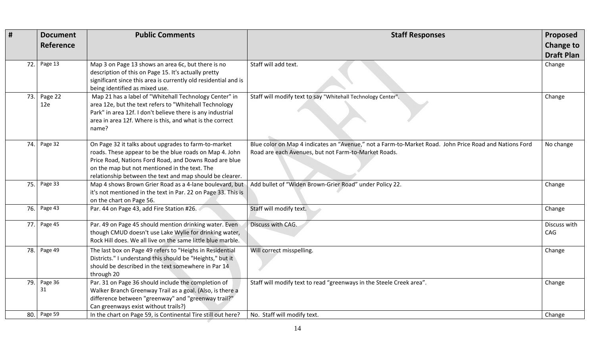| #   | <b>Document</b><br>Reference | <b>Public Comments</b>                                                                                                                                                                                                                                                                 | <b>Staff Responses</b>                                                                                                                                         | Proposed<br><b>Change to</b><br><b>Draft Plan</b> |
|-----|------------------------------|----------------------------------------------------------------------------------------------------------------------------------------------------------------------------------------------------------------------------------------------------------------------------------------|----------------------------------------------------------------------------------------------------------------------------------------------------------------|---------------------------------------------------|
| 72. | Page 13                      | Map 3 on Page 13 shows an area 6c, but there is no<br>description of this on Page 15. It's actually pretty<br>significant since this area is currently old residential and is<br>being identified as mixed use.                                                                        | Staff will add text.                                                                                                                                           | Change                                            |
| 73. | Page 22<br>12e               | Map 21 has a label of "Whitehall Technology Center" in<br>area 12e, but the text refers to "Whitehall Technology<br>Park" in area 12f. I don't believe there is any industrial<br>area in area 12f. Where is this, and what is the correct<br>name?                                    | Staff will modify text to say "Whitehall Technology Center".                                                                                                   | Change                                            |
| 74. | Page 32                      | On Page 32 it talks about upgrades to farm-to-market<br>roads. These appear to be the blue roads on Map 4. John<br>Price Road, Nations Ford Road, and Downs Road are blue<br>on the map but not mentioned in the text. The<br>relationship between the text and map should be clearer. | Blue color on Map 4 indicates an "Avenue," not a Farm-to-Market Road. John Price Road and Nations Ford<br>Road are each Avenues, but not Farm-to-Market Roads. | No change                                         |
| 75. | Page 33                      | Map 4 shows Brown Grier Road as a 4-lane boulevard, but<br>it's not mentioned in the text in Par. 22 on Page 33. This is<br>on the chart on Page 56.                                                                                                                                   | Add bullet of "Widen Brown-Grier Road" under Policy 22.                                                                                                        | Change                                            |
| 76. | Page 43                      | Par. 44 on Page 43, add Fire Station #26.                                                                                                                                                                                                                                              | Staff will modify text.                                                                                                                                        | Change                                            |
| 77. | Page 45                      | Par. 49 on Page 45 should mention drinking water. Even<br>though CMUD doesn't use Lake Wylie for drinking water,<br>Rock Hill does. We all live on the same little blue marble.                                                                                                        | Discuss with CAG.                                                                                                                                              | Discuss with<br>CAG                               |
| 78. | Page 49                      | The last box on Page 49 refers to "Heighs in Residential<br>Districts." I understand this should be "Heights," but it<br>should be described in the text somewhere in Par 14<br>through 20                                                                                             | Will correct misspelling.                                                                                                                                      | Change                                            |
| 79. | Page 36<br>31                | Par. 31 on Page 36 should include the completion of<br>Walker Branch Greenway Trail as a goal. (Also, is there a<br>difference between "greenway" and "greenway trail?"<br>Can greenways exist without trails?)                                                                        | Staff will modify text to read "greenways in the Steele Creek area".                                                                                           | Change                                            |
|     | 80. Page 59                  | In the chart on Page 59, is Continental Tire still out here?                                                                                                                                                                                                                           | No. Staff will modify text.                                                                                                                                    | Change                                            |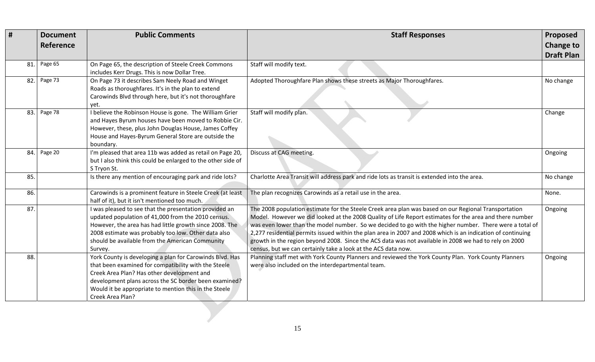| #   | <b>Document</b><br>Reference | <b>Public Comments</b>                                                                                                                                                                                                                                                                               | <b>Staff Responses</b>                                                                                                                                                                                                                                                                                                                                                                                                                                                                                                                                                                                              | Proposed<br><b>Change to</b><br><b>Draft Plan</b> |
|-----|------------------------------|------------------------------------------------------------------------------------------------------------------------------------------------------------------------------------------------------------------------------------------------------------------------------------------------------|---------------------------------------------------------------------------------------------------------------------------------------------------------------------------------------------------------------------------------------------------------------------------------------------------------------------------------------------------------------------------------------------------------------------------------------------------------------------------------------------------------------------------------------------------------------------------------------------------------------------|---------------------------------------------------|
| 81. | Page 65                      | On Page 65, the description of Steele Creek Commons<br>includes Kerr Drugs. This is now Dollar Tree.                                                                                                                                                                                                 | Staff will modify text.                                                                                                                                                                                                                                                                                                                                                                                                                                                                                                                                                                                             |                                                   |
| 82. | Page 73                      | On Page 73 it describes Sam Neely Road and Winget<br>Roads as thoroughfares. It's in the plan to extend<br>Carowinds Blvd through here, but it's not thoroughfare<br>yet.                                                                                                                            | Adopted Thoroughfare Plan shows these streets as Major Thoroughfares.                                                                                                                                                                                                                                                                                                                                                                                                                                                                                                                                               | No change                                         |
| 83. | Page 78                      | I believe the Robinson House is gone. The William Grier<br>and Hayes Byrum houses have been moved to Robbie Cir.<br>However, these, plus John Douglas House, James Coffey<br>House and Hayes-Byrum General Store are outside the<br>boundary.                                                        | Staff will modify plan.                                                                                                                                                                                                                                                                                                                                                                                                                                                                                                                                                                                             | Change                                            |
| 84. | Page 20                      | I'm pleased that area 11b was added as retail on Page 20,<br>but I also think this could be enlarged to the other side of<br>S Tryon St.                                                                                                                                                             | Discuss at CAG meeting.                                                                                                                                                                                                                                                                                                                                                                                                                                                                                                                                                                                             | Ongoing                                           |
| 85. |                              | Is there any mention of encouraging park and ride lots?                                                                                                                                                                                                                                              | Charlotte Area Transit will address park and ride lots as transit is extended into the area.                                                                                                                                                                                                                                                                                                                                                                                                                                                                                                                        | No change                                         |
| 86. |                              | Carowinds is a prominent feature in Steele Creek (at least<br>half of it), but it isn't mentioned too much.                                                                                                                                                                                          | The plan recognizes Carowinds as a retail use in the area.                                                                                                                                                                                                                                                                                                                                                                                                                                                                                                                                                          | None.                                             |
| 87. |                              | I was pleased to see that the presentation provided an<br>updated population of 41,000 from the 2010 census.<br>However, the area has had little growth since 2008. The<br>2008 estimate was probably too low. Other data also<br>should be available from the American Community<br>Survey.         | The 2008 population estimate for the Steele Creek area plan was based on our Regional Transportation<br>Model. However we did looked at the 2008 Quality of Life Report estimates for the area and there number<br>was even lower than the model number. So we decided to go with the higher number. There were a total of<br>2,277 residential permits issued within the plan area in 2007 and 2008 which is an indication of continuing<br>growth in the region beyond 2008. Since the ACS data was not available in 2008 we had to rely on 2000<br>census, but we can certainly take a look at the ACS data now. | Ongoing                                           |
| 88. |                              | York County is developing a plan for Carowinds Blvd. Has<br>that been examined for compatibility with the Steele<br>Creek Area Plan? Has other development and<br>development plans across the SC border been examined?<br>Would it be appropriate to mention this in the Steele<br>Creek Area Plan? | Planning staff met with York County Planners and reviewed the York County Plan. York County Planners<br>were also included on the interdepartmental team.                                                                                                                                                                                                                                                                                                                                                                                                                                                           | Ongoing                                           |
|     |                              |                                                                                                                                                                                                                                                                                                      |                                                                                                                                                                                                                                                                                                                                                                                                                                                                                                                                                                                                                     |                                                   |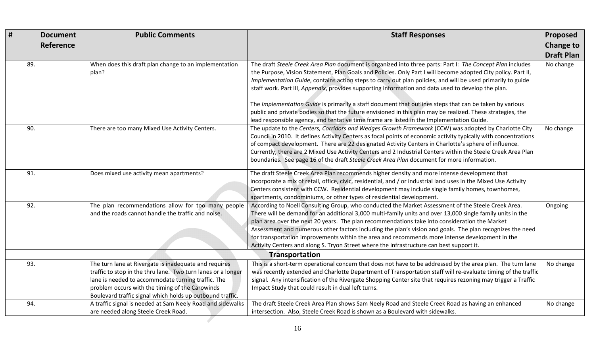|     | <b>Document</b><br>Reference | <b>Public Comments</b>                                                                                                                                                                                                                                                                      | <b>Staff Responses</b>                                                                                                                                                                                                                                                                                                                                                                                                                                                                                                                                                                                                                                                                                                                                                  | Proposed<br><b>Change to</b><br><b>Draft Plan</b> |  |
|-----|------------------------------|---------------------------------------------------------------------------------------------------------------------------------------------------------------------------------------------------------------------------------------------------------------------------------------------|-------------------------------------------------------------------------------------------------------------------------------------------------------------------------------------------------------------------------------------------------------------------------------------------------------------------------------------------------------------------------------------------------------------------------------------------------------------------------------------------------------------------------------------------------------------------------------------------------------------------------------------------------------------------------------------------------------------------------------------------------------------------------|---------------------------------------------------|--|
| 89. |                              | When does this draft plan change to an implementation<br>plan?                                                                                                                                                                                                                              | The draft Steele Creek Area Plan document is organized into three parts: Part I: The Concept Plan includes<br>the Purpose, Vision Statement, Plan Goals and Policies. Only Part I will become adopted City policy. Part II,<br>Implementation Guide, contains action steps to carry out plan policies, and will be used primarily to guide<br>staff work. Part III, Appendix, provides supporting information and data used to develop the plan.<br>The Implementation Guide is primarily a staff document that outlines steps that can be taken by various<br>public and private bodies so that the future envisioned in this plan may be realized. These strategies, the<br>lead responsible agency, and tentative time frame are listed in the Implementation Guide. | No change                                         |  |
| 90. |                              | There are too many Mixed Use Activity Centers.                                                                                                                                                                                                                                              | The update to the Centers, Corridors and Wedges Growth Framework (CCW) was adopted by Charlotte City<br>Council in 2010. It defines Activity Centers as focal points of economic activity typically with concentrations<br>of compact development. There are 22 designated Activity Centers in Charlotte's sphere of influence.<br>Currently, there are 2 Mixed Use Activity Centers and 2 Industrial Centers within the Steele Creek Area Plan<br>boundaries. See page 16 of the draft Steele Creek Area Plan document for more information.                                                                                                                                                                                                                           | No change                                         |  |
| 91. |                              | Does mixed use activity mean apartments?                                                                                                                                                                                                                                                    | The draft Steele Creek Area Plan recommends higher density and more intense development that<br>incorporate a mix of retail, office, civic, residential, and / or industrial land uses in the Mixed Use Activity<br>Centers consistent with CCW. Residential development may include single family homes, townhomes,<br>apartments, condominiums, or other types of residential development.                                                                                                                                                                                                                                                                                                                                                                            |                                                   |  |
| 92. |                              | The plan recommendations allow for too many people<br>and the roads cannot handle the traffic and noise.                                                                                                                                                                                    | According to Noell Consulting Group, who conducted the Market Assessment of the Steele Creek Area.<br>There will be demand for an additional 3,000 multi-family units and over 13,000 single family units in the<br>plan area over the next 20 years. The plan recommendations take into consideration the Market<br>Assessment and numerous other factors including the plan's vision and goals. The plan recognizes the need<br>for transportation improvements within the area and recommends more intense development in the<br>Activity Centers and along S. Tryon Street where the infrastructure can best support it.                                                                                                                                            | Ongoing                                           |  |
|     | Transportation               |                                                                                                                                                                                                                                                                                             |                                                                                                                                                                                                                                                                                                                                                                                                                                                                                                                                                                                                                                                                                                                                                                         |                                                   |  |
| 93. |                              | The turn lane at Rivergate is inadequate and requires<br>traffic to stop in the thru lane. Two turn lanes or a longer<br>lane is needed to accommodate turning traffic. The<br>problem occurs with the timing of the Carowinds<br>Boulevard traffic signal which holds up outbound traffic. | This is a short-term operational concern that does not have to be addressed by the area plan. The turn lane<br>was recently extended and Charlotte Department of Transportation staff will re-evaluate timing of the traffic<br>signal. Any intensification of the Rivergate Shopping Center site that requires rezoning may trigger a Traffic<br>Impact Study that could result in dual left turns.                                                                                                                                                                                                                                                                                                                                                                    | No change                                         |  |
| 94. |                              | A traffic signal is needed at Sam Neely Road and sidewalks<br>are needed along Steele Creek Road.                                                                                                                                                                                           | The draft Steele Creek Area Plan shows Sam Neely Road and Steele Creek Road as having an enhanced<br>intersection. Also, Steele Creek Road is shown as a Boulevard with sidewalks.                                                                                                                                                                                                                                                                                                                                                                                                                                                                                                                                                                                      | No change                                         |  |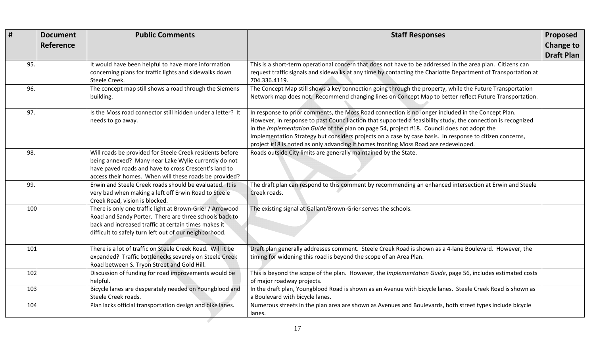| #   | <b>Document</b><br>Reference | <b>Public Comments</b>                                                                                                                                                                                                                | <b>Staff Responses</b>                                                                                                                                                                                                                                                                                                                                                                                                                                                                                               | Proposed<br><b>Change to</b><br><b>Draft Plan</b> |
|-----|------------------------------|---------------------------------------------------------------------------------------------------------------------------------------------------------------------------------------------------------------------------------------|----------------------------------------------------------------------------------------------------------------------------------------------------------------------------------------------------------------------------------------------------------------------------------------------------------------------------------------------------------------------------------------------------------------------------------------------------------------------------------------------------------------------|---------------------------------------------------|
| 95. |                              | It would have been helpful to have more information<br>concerning plans for traffic lights and sidewalks down<br>Steele Creek.                                                                                                        | This is a short-term operational concern that does not have to be addressed in the area plan. Citizens can<br>request traffic signals and sidewalks at any time by contacting the Charlotte Department of Transportation at<br>704.336.4119.                                                                                                                                                                                                                                                                         |                                                   |
| 96. |                              | The concept map still shows a road through the Siemens<br>building.                                                                                                                                                                   | The Concept Map still shows a key connection going through the property, while the Future Transportation<br>Network map does not. Recommend changing lines on Concept Map to better reflect Future Transportation.                                                                                                                                                                                                                                                                                                   |                                                   |
| 97. |                              | Is the Moss road connector still hidden under a letter? It<br>needs to go away.                                                                                                                                                       | In response to prior comments, the Moss Road connection is no longer included in the Concept Plan.<br>However, in response to past Council action that supported a feasibility study, the connection is recognized<br>in the Implementation Guide of the plan on page 54, project #18. Council does not adopt the<br>Implementation Strategy but considers projects on a case by case basis. In response to citizen concerns,<br>project #18 is noted as only advancing if homes fronting Moss Road are redeveloped. |                                                   |
| 98. |                              | Will roads be provided for Steele Creek residents before<br>being annexed? Many near Lake Wylie currently do not<br>have paved roads and have to cross Crescent's land to<br>access their homes. When will these roads be provided?   | Roads outside City limits are generally maintained by the State.                                                                                                                                                                                                                                                                                                                                                                                                                                                     |                                                   |
| 99. |                              | Erwin and Steele Creek roads should be evaluated. It is<br>very bad when making a left off Erwin Road to Steele<br>Creek Road, vision is blocked.                                                                                     | The draft plan can respond to this comment by recommending an enhanced intersection at Erwin and Steele<br>Creek roads.                                                                                                                                                                                                                                                                                                                                                                                              |                                                   |
| 100 |                              | There is only one traffic light at Brown-Grier / Arrowood<br>Road and Sandy Porter. There are three schools back to<br>back and increased traffic at certain times makes it<br>difficult to safely turn left out of our neighborhood. | The existing signal at Gallant/Brown-Grier serves the schools.                                                                                                                                                                                                                                                                                                                                                                                                                                                       |                                                   |
| 101 |                              | There is a lot of traffic on Steele Creek Road. Will it be<br>expanded? Traffic bottlenecks severely on Steele Creek<br>Road between S. Tryon Street and Gold Hill.                                                                   | Draft plan generally addresses comment. Steele Creek Road is shown as a 4-lane Boulevard. However, the<br>timing for widening this road is beyond the scope of an Area Plan.                                                                                                                                                                                                                                                                                                                                         |                                                   |
| 102 |                              | Discussion of funding for road improvements would be<br>helpful.                                                                                                                                                                      | This is beyond the scope of the plan. However, the Implementation Guide, page 56, includes estimated costs<br>of major roadway projects.                                                                                                                                                                                                                                                                                                                                                                             |                                                   |
| 103 |                              | Bicycle lanes are desperately needed on Youngblood and<br>Steele Creek roads.                                                                                                                                                         | In the draft plan, Youngblood Road is shown as an Avenue with bicycle lanes. Steele Creek Road is shown as<br>a Boulevard with bicycle lanes.                                                                                                                                                                                                                                                                                                                                                                        |                                                   |
| 104 |                              | Plan lacks official transportation design and bike lanes.                                                                                                                                                                             | Numerous streets in the plan area are shown as Avenues and Boulevards, both street types include bicycle<br>lanes.                                                                                                                                                                                                                                                                                                                                                                                                   |                                                   |